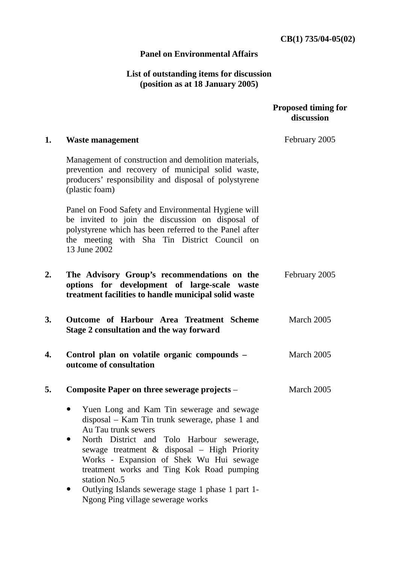## **Panel on Environmental Affairs**

## **List of outstanding items for discussion (position as at 18 January 2005)**

|    |                                                                                                                                                                                                                                   | <b>Proposed timing for</b><br>discussion |
|----|-----------------------------------------------------------------------------------------------------------------------------------------------------------------------------------------------------------------------------------|------------------------------------------|
| 1. | <b>Waste management</b>                                                                                                                                                                                                           | February 2005                            |
|    | Management of construction and demolition materials,<br>prevention and recovery of municipal solid waste,<br>producers' responsibility and disposal of polystyrene<br>(plastic foam)                                              |                                          |
|    | Panel on Food Safety and Environmental Hygiene will<br>be invited to join the discussion on disposal of<br>polystyrene which has been referred to the Panel after<br>the meeting with Sha Tin District Council on<br>13 June 2002 |                                          |
| 2. | The Advisory Group's recommendations on the<br>options for development of large-scale waste<br>treatment facilities to handle municipal solid waste                                                                               | February 2005                            |
| 3. | Outcome of Harbour Area Treatment Scheme<br>Stage 2 consultation and the way forward                                                                                                                                              | March 2005                               |
| 4. | Control plan on volatile organic compounds -<br>outcome of consultation                                                                                                                                                           | March 2005                               |
| 5. | Composite Paper on three sewerage projects –                                                                                                                                                                                      | March 2005                               |
|    | Yuen Long and Kam Tin sewerage and sewage<br>disposal – Kam Tin trunk sewerage, phase 1 and<br>Au Tau trunk sewers                                                                                                                |                                          |
|    | North District and Tolo Harbour sewerage,<br>sewage treatment & disposal - High Priority<br>Works - Expansion of Shek Wu Hui sewage<br>treatment works and Ting Kok Road pumping<br>station No.5                                  |                                          |
|    | Outlying Islands sewerage stage 1 phase 1 part 1-<br>Ngong Ping village sewerage works                                                                                                                                            |                                          |